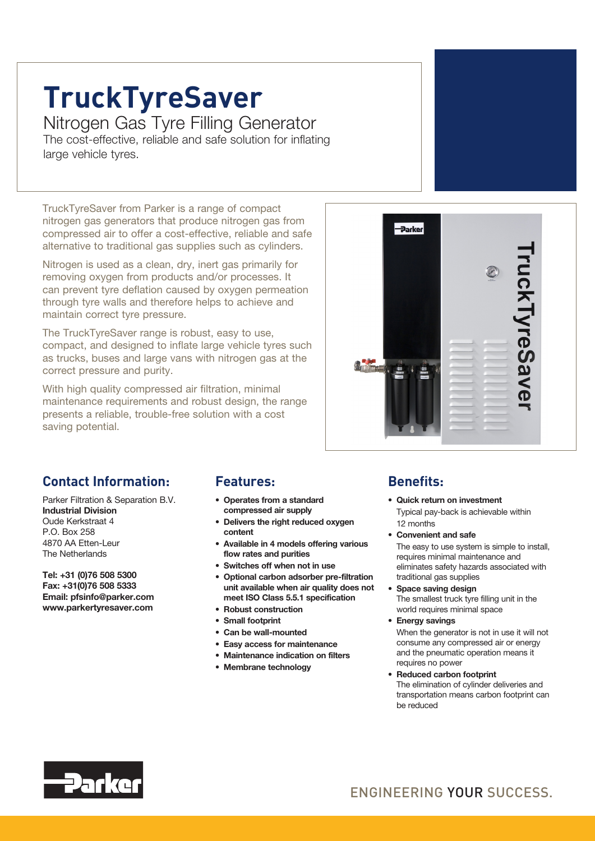# **TruckTyreSaver**

Nitrogen Gas Tyre Filling Generator The cost-effective, reliable and safe solution for inflating large vehicle tyres.

TruckTyreSaver from Parker is a range of compact nitrogen gas generators that produce nitrogen gas from compressed air to offer a cost-effective, reliable and safe alternative to traditional gas supplies such as cylinders.

Nitrogen is used as a clean, dry, inert gas primarily for removing oxygen from products and/or processes. It can prevent tyre deflation caused by oxygen permeation through tyre walls and therefore helps to achieve and maintain correct tyre pressure.

The TruckTyreSaver range is robust, easy to use, compact, and designed to inflate large vehicle tyres such as trucks, buses and large vans with nitrogen gas at the correct pressure and purity.

With high quality compressed air filtration, minimal maintenance requirements and robust design, the range presents a reliable, trouble-free solution with a cost saving potential.



### **Contact Information:**

Parker Filtration & Separation B.V. Industrial Division Oude Kerkstraat 4 P.O. Box 258 4870 AA Etten-Leur The Netherlands

Tel: +31 (0)76 508 5300 Fax: +31(0)76 508 5333 Email: pfsinfo@parker.com www.parkertyresaver.com

### **Features: Benefits:**

- • Operates from a standard compressed air supply
- Delivers the right reduced oxygen content
- Available in 4 models offering various flow rates and purities
- • Switches off when not in use
- • Optional carbon adsorber pre-filtration unit available when air quality does not meet ISO Class 5.5.1 specification
- • Robust construction
- Small footprint
- • Can be wall-mounted
- • Easy access for maintenance
- • Maintenance indication on filters
- Membrane technology

- Quick return on investment Typical pay-back is achievable within 12 months
- • Convenient and safe The easy to use system is simple to install, requires minimal maintenance and eliminates safety hazards associated with traditional gas supplies
- Space saving design The smallest truck tyre filling unit in the world requires minimal space
- Energy savings

When the generator is not in use it will not consume any compressed air or energy and the pneumatic operation means it requires no power

• Reduced carbon footprint The elimination of cylinder deliveries and transportation means carbon footprint can be reduced



## ENGINEERING YOUR SUCCESS.